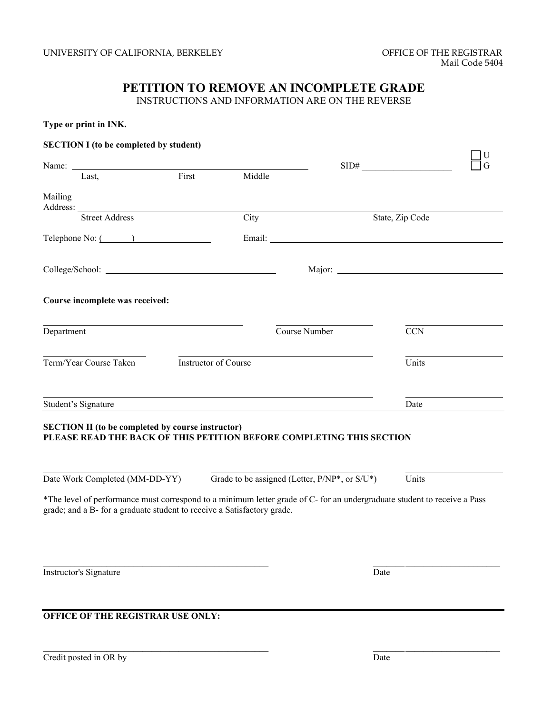# **PETITION TO REMOVE AN INCOMPLETE GRADE**

INSTRUCTIONS AND INFORMATION ARE ON THE REVERSE

| Type or print in INK. |  |  |
|-----------------------|--|--|
|-----------------------|--|--|

| <b>SECTION I</b> (to be completed by student)                                                                                    |                             |        |                                                                                                                  |                 |  |
|----------------------------------------------------------------------------------------------------------------------------------|-----------------------------|--------|------------------------------------------------------------------------------------------------------------------|-----------------|--|
|                                                                                                                                  |                             |        |                                                                                                                  | SID#            |  |
| Name: $I_{\text{ast}}$ First                                                                                                     |                             | Middle |                                                                                                                  |                 |  |
| Mailing                                                                                                                          |                             |        |                                                                                                                  |                 |  |
| <b>Street Address</b>                                                                                                            |                             | City   |                                                                                                                  | State, Zip Code |  |
| $\text{Telephone No:}$ $\qquad \qquad$                                                                                           |                             |        |                                                                                                                  |                 |  |
|                                                                                                                                  |                             |        |                                                                                                                  |                 |  |
| Course incomplete was received:                                                                                                  |                             |        |                                                                                                                  |                 |  |
| Department                                                                                                                       |                             |        | Course Number                                                                                                    | <b>CCN</b>      |  |
| Term/Year Course Taken                                                                                                           | <b>Instructor of Course</b> |        |                                                                                                                  | Units           |  |
| Student's Signature                                                                                                              |                             |        | and the control of the control of the control of the control of the control of the control of the control of the | Date            |  |
| <b>SECTION II (to be completed by course instructor)</b><br>PLEASE READ THE BACK OF THIS PETITION BEFORE COMPLETING THIS SECTION |                             |        |                                                                                                                  |                 |  |
| Date Work Completed (MM-DD-YY)                                                                                                   |                             |        | Grade to be assigned (Letter, $P/NP^*$ , or $S/U^*$ )                                                            | Units           |  |

\*The level of performance must correspond to a minimum letter grade of C- for an undergraduate student to receive a Pass grade; and a B- for a graduate student to receive a Satisfactory grade.

 $\mathcal{L}_\text{max}$ 

 $\mathcal{L}_\text{max}$ 

Instructor's Signature Date

**OFFICE OF THE REGISTRAR USE ONLY:**